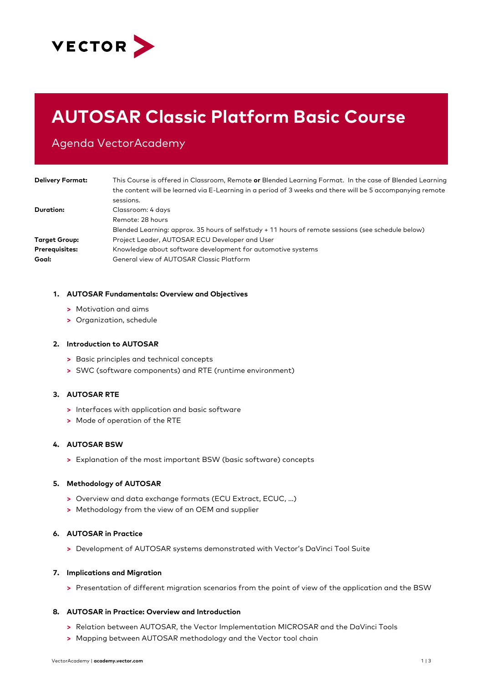

# **AUTOSAR Classic Platform Basic Course**

Agenda VectorAcademy

| <b>Delivery Format:</b> | This Course is offered in Classroom, Remote or Blended Learning Format. In the case of Blended Learning<br>the content will be learned via E-Learning in a period of 3 weeks and there will be 5 accompanying remote |
|-------------------------|----------------------------------------------------------------------------------------------------------------------------------------------------------------------------------------------------------------------|
|                         | sessions.                                                                                                                                                                                                            |
| Duration:               | Classroom: 4 days                                                                                                                                                                                                    |
|                         | Remote: 28 hours                                                                                                                                                                                                     |
|                         | Blended Learning: approx. 35 hours of selfstudy + 11 hours of remote sessions (see schedule below)                                                                                                                   |
| <b>Target Group:</b>    | Project Leader, AUTOSAR ECU Developer and User                                                                                                                                                                       |
| Prerequisites:          | Knowledge about software development for automotive systems                                                                                                                                                          |
| Goal:                   | General view of AUTOSAR Classic Platform                                                                                                                                                                             |

#### **1. AUTOSAR Fundamentals: Overview and Objectives**

- **>** Motivation and aims
- **>** Organization, schedule

#### **2. Introduction to AUTOSAR**

- **>** Basic principles and technical concepts
- **>** SWC (software components) and RTE (runtime environment)

# **3. AUTOSAR RTE**

- **>** Interfaces with application and basic software
- **>** Mode of operation of the RTE

# **4. AUTOSAR BSW**

**>** Explanation of the most important BSW (basic software) concepts

# **5. Methodology of AUTOSAR**

- **>** Overview and data exchange formats (ECU Extract, ECUC, …)
- **>** Methodology from the view of an OEM and supplier

# **6. AUTOSAR in Practice**

**>** Development of AUTOSAR systems demonstrated with Vector's DaVinci Tool Suite

# **7. Implications and Migration**

**>** Presentation of different migration scenarios from the point of view of the application and the BSW

#### **8. AUTOSAR in Practice: Overview and Introduction**

- **>** Relation between AUTOSAR, the Vector Implementation MICROSAR and the DaVinci Tools
- **>** Mapping between AUTOSAR methodology and the Vector tool chain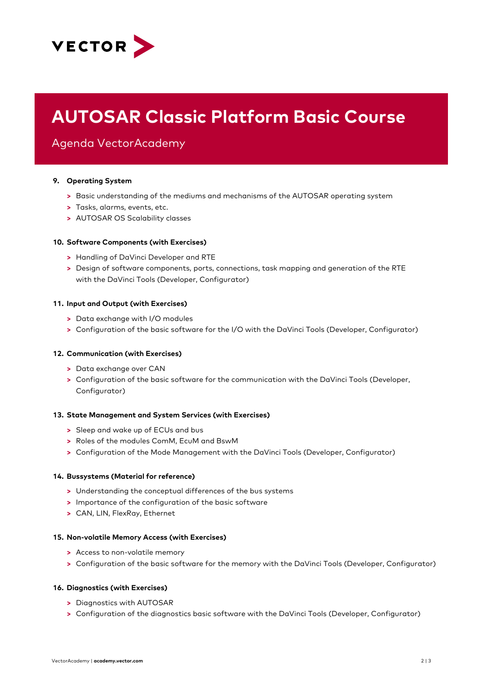

# **AUTOSAR Classic Platform Basic Course**

Agenda VectorAcademy

# **9. Operating System**

- **>** Basic understanding of the mediums and mechanisms of the AUTOSAR operating system
- **>** Tasks, alarms, events, etc.
- **>** AUTOSAR OS Scalability classes

# **10. Software Components (with Exercises)**

- **>** Handling of DaVinci Developer and RTE
- **>** Design of software components, ports, connections, task mapping and generation of the RTE with the DaVinci Tools (Developer, Configurator)

# **11. Input and Output (with Exercises)**

- **>** Data exchange with I/O modules
- **>** Configuration of the basic software for the I/O with the DaVinci Tools (Developer, Configurator)

# **12. Communication (with Exercises)**

- **>** Data exchange over CAN
- **>** Configuration of the basic software for the communication with the DaVinci Tools (Developer, Configurator)

# **13. State Management and System Services (with Exercises)**

- **>** Sleep and wake up of ECUs and bus
- **>** Roles of the modules ComM, EcuM and BswM
- **>** Configuration of the Mode Management with the DaVinci Tools (Developer, Configurator)

# **14. Bussystems (Material for reference)**

- **>** Understanding the conceptual differences of the bus systems
- **>** Importance of the configuration of the basic software
- **>** CAN, LIN, FlexRay, Ethernet

# **15. Non-volatile Memory Access (with Exercises)**

- **>** Access to non-volatile memory
- **>** Configuration of the basic software for the memory with the DaVinci Tools (Developer, Configurator)

# **16. Diagnostics (with Exercises)**

- **>** Diagnostics with AUTOSAR
- **>** Configuration of the diagnostics basic software with the DaVinci Tools (Developer, Configurator)